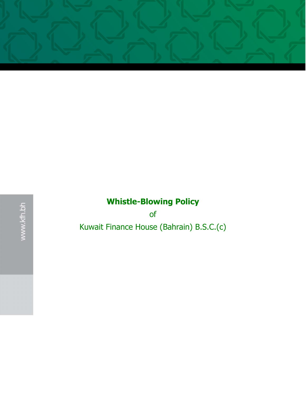

of Kuwait Finance House (Bahrain) B.S.C.(c)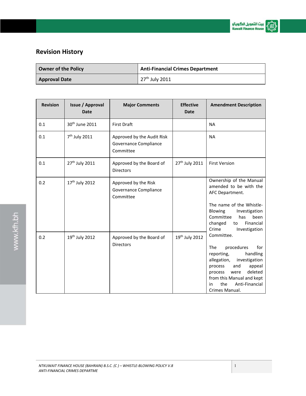

## **Revision History**

| <b>Owner of the Policy</b> | <b>Anti-Financial Crimes Department</b> |
|----------------------------|-----------------------------------------|
| <b>Approval Date</b>       | 27 <sup>th</sup> July 2011              |

| <b>Revision</b> | Issue / Approval<br><b>Date</b> | <b>Major Comments</b>                                            | <b>Effective</b><br><b>Date</b> | <b>Amendment Description</b>                                                                                                                                                                                                                                                                                                                                                                                                                                        |
|-----------------|---------------------------------|------------------------------------------------------------------|---------------------------------|---------------------------------------------------------------------------------------------------------------------------------------------------------------------------------------------------------------------------------------------------------------------------------------------------------------------------------------------------------------------------------------------------------------------------------------------------------------------|
| 0.1             | 30 <sup>th</sup> June 2011      | <b>First Draft</b>                                               |                                 | <b>NA</b>                                                                                                                                                                                                                                                                                                                                                                                                                                                           |
| 0.1             | 7 <sup>th</sup> July 2011       | Approved by the Audit Risk<br>Governance Compliance<br>Committee |                                 | <b>NA</b>                                                                                                                                                                                                                                                                                                                                                                                                                                                           |
| 0.1             | 27 <sup>th</sup> July 2011      | Approved by the Board of<br><b>Directors</b>                     | 27 <sup>th</sup> July 2011      | <b>First Version</b>                                                                                                                                                                                                                                                                                                                                                                                                                                                |
| 0.2             | 17 <sup>th</sup> July 2012      | Approved by the Risk<br>Governance Compliance<br>Committee       |                                 | Ownership of the Manual<br>amended to be with the<br>AFC Department.<br>The name of the Whistle-<br>Blowing<br>Investigation<br>Committee<br>has<br>been<br>changed<br>Financial<br>to<br>Crime<br>Investigation<br>Committee.<br><b>The</b><br>procedures<br>for<br>handling<br>reporting,<br>allegation,<br>investigation<br>appeal<br>process<br>and<br>deleted<br>process<br>were<br>from this Manual and kept<br>the<br>Anti-Financial<br>in<br>Crimes Manual. |
| 0.2             | 19th July 2012                  | Approved by the Board of<br><b>Directors</b>                     | 19th July 2012                  |                                                                                                                                                                                                                                                                                                                                                                                                                                                                     |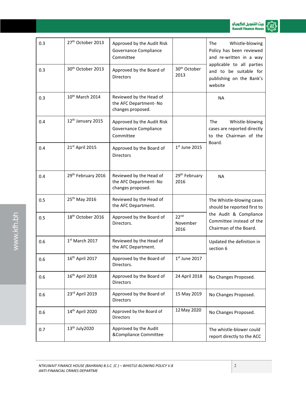

| 27 <sup>th</sup> October 2013<br>0.3<br>Approved by the Audit Risk<br><b>The</b><br>Whistle-blowing<br>Governance Compliance<br>Policy has been reviewed<br>Committee<br>and re-written in a way<br>applicable to all parties<br>30 <sup>th</sup> October<br>30 <sup>th</sup> October 2013<br>0.3<br>Approved by the Board of<br>and to be suitable for<br>2013<br><b>Directors</b><br>publishing on the Bank's<br>website<br>10 <sup>th</sup> March 2014<br>Reviewed by the Head of<br>0.3<br><b>NA</b><br>the AFC Department-No<br>changes proposed.<br>12 <sup>th</sup> January 2015<br>0.4<br>Approved by the Audit Risk<br><b>The</b><br>Whistle-blowing<br>Governance Compliance<br>cases are reported directly<br>Committee<br>to the Chairman of the<br>Board.<br>$1st$ June 2015<br>21st April 2015<br>0.4<br>Approved by the Board of<br><b>Directors</b><br>29 <sup>th</sup> February<br>29 <sup>th</sup> February 2016<br>Reviewed by the Head of<br>0.4<br><b>NA</b><br>the AFC Department- No<br>2016<br>changes proposed.<br>25 <sup>th</sup> May 2016<br>Reviewed by the Head of<br>0.5<br>The Whistle-blowing cases<br>the AFC Department.<br>should be reported first to<br>the Audit & Compliance<br>22 <sup>nd</sup><br>18 <sup>th</sup> October 2016<br>Approved by the Board of<br>0.5<br>Committee instead of the<br>Directors.<br>November<br>Chairman of the Board.<br>2016<br>1st March 2017<br>Reviewed by the Head of<br>0.6<br>Updated the definition in<br>the AFC Department.<br>section 6<br>16th April 2017<br>Approved by the Board of<br>$1st$ June 2017<br>0.6<br>Directors.<br>16 <sup>th</sup> April 2018<br>Approved by the Board of<br>24 April 2018<br>0.6<br>No Changes Proposed.<br>Directors<br>23rd April 2019<br>Approved by the Board of<br>15 May 2019<br>0.6<br>No Changes Proposed.<br><b>Directors</b><br>12 May 2020<br>14 <sup>th</sup> April 2020<br>Approved by the Board of<br>0.6<br>No Changes Proposed.<br><b>Directors</b><br>13 <sup>th</sup> July 2020<br>Approved by the Audit<br>0.7<br>The whistle-blower could<br>&Compliance Committee<br>report directly to the ACC |  |  |  |
|-----------------------------------------------------------------------------------------------------------------------------------------------------------------------------------------------------------------------------------------------------------------------------------------------------------------------------------------------------------------------------------------------------------------------------------------------------------------------------------------------------------------------------------------------------------------------------------------------------------------------------------------------------------------------------------------------------------------------------------------------------------------------------------------------------------------------------------------------------------------------------------------------------------------------------------------------------------------------------------------------------------------------------------------------------------------------------------------------------------------------------------------------------------------------------------------------------------------------------------------------------------------------------------------------------------------------------------------------------------------------------------------------------------------------------------------------------------------------------------------------------------------------------------------------------------------------------------------------------------------------------------------------------------------------------------------------------------------------------------------------------------------------------------------------------------------------------------------------------------------------------------------------------------------------------------------------------------------------------------------------------------------------------------------------------------------------------------------------------------------------------------------|--|--|--|
|                                                                                                                                                                                                                                                                                                                                                                                                                                                                                                                                                                                                                                                                                                                                                                                                                                                                                                                                                                                                                                                                                                                                                                                                                                                                                                                                                                                                                                                                                                                                                                                                                                                                                                                                                                                                                                                                                                                                                                                                                                                                                                                                         |  |  |  |
|                                                                                                                                                                                                                                                                                                                                                                                                                                                                                                                                                                                                                                                                                                                                                                                                                                                                                                                                                                                                                                                                                                                                                                                                                                                                                                                                                                                                                                                                                                                                                                                                                                                                                                                                                                                                                                                                                                                                                                                                                                                                                                                                         |  |  |  |
|                                                                                                                                                                                                                                                                                                                                                                                                                                                                                                                                                                                                                                                                                                                                                                                                                                                                                                                                                                                                                                                                                                                                                                                                                                                                                                                                                                                                                                                                                                                                                                                                                                                                                                                                                                                                                                                                                                                                                                                                                                                                                                                                         |  |  |  |
|                                                                                                                                                                                                                                                                                                                                                                                                                                                                                                                                                                                                                                                                                                                                                                                                                                                                                                                                                                                                                                                                                                                                                                                                                                                                                                                                                                                                                                                                                                                                                                                                                                                                                                                                                                                                                                                                                                                                                                                                                                                                                                                                         |  |  |  |
|                                                                                                                                                                                                                                                                                                                                                                                                                                                                                                                                                                                                                                                                                                                                                                                                                                                                                                                                                                                                                                                                                                                                                                                                                                                                                                                                                                                                                                                                                                                                                                                                                                                                                                                                                                                                                                                                                                                                                                                                                                                                                                                                         |  |  |  |
|                                                                                                                                                                                                                                                                                                                                                                                                                                                                                                                                                                                                                                                                                                                                                                                                                                                                                                                                                                                                                                                                                                                                                                                                                                                                                                                                                                                                                                                                                                                                                                                                                                                                                                                                                                                                                                                                                                                                                                                                                                                                                                                                         |  |  |  |
|                                                                                                                                                                                                                                                                                                                                                                                                                                                                                                                                                                                                                                                                                                                                                                                                                                                                                                                                                                                                                                                                                                                                                                                                                                                                                                                                                                                                                                                                                                                                                                                                                                                                                                                                                                                                                                                                                                                                                                                                                                                                                                                                         |  |  |  |
|                                                                                                                                                                                                                                                                                                                                                                                                                                                                                                                                                                                                                                                                                                                                                                                                                                                                                                                                                                                                                                                                                                                                                                                                                                                                                                                                                                                                                                                                                                                                                                                                                                                                                                                                                                                                                                                                                                                                                                                                                                                                                                                                         |  |  |  |
|                                                                                                                                                                                                                                                                                                                                                                                                                                                                                                                                                                                                                                                                                                                                                                                                                                                                                                                                                                                                                                                                                                                                                                                                                                                                                                                                                                                                                                                                                                                                                                                                                                                                                                                                                                                                                                                                                                                                                                                                                                                                                                                                         |  |  |  |
|                                                                                                                                                                                                                                                                                                                                                                                                                                                                                                                                                                                                                                                                                                                                                                                                                                                                                                                                                                                                                                                                                                                                                                                                                                                                                                                                                                                                                                                                                                                                                                                                                                                                                                                                                                                                                                                                                                                                                                                                                                                                                                                                         |  |  |  |
|                                                                                                                                                                                                                                                                                                                                                                                                                                                                                                                                                                                                                                                                                                                                                                                                                                                                                                                                                                                                                                                                                                                                                                                                                                                                                                                                                                                                                                                                                                                                                                                                                                                                                                                                                                                                                                                                                                                                                                                                                                                                                                                                         |  |  |  |
|                                                                                                                                                                                                                                                                                                                                                                                                                                                                                                                                                                                                                                                                                                                                                                                                                                                                                                                                                                                                                                                                                                                                                                                                                                                                                                                                                                                                                                                                                                                                                                                                                                                                                                                                                                                                                                                                                                                                                                                                                                                                                                                                         |  |  |  |
|                                                                                                                                                                                                                                                                                                                                                                                                                                                                                                                                                                                                                                                                                                                                                                                                                                                                                                                                                                                                                                                                                                                                                                                                                                                                                                                                                                                                                                                                                                                                                                                                                                                                                                                                                                                                                                                                                                                                                                                                                                                                                                                                         |  |  |  |
|                                                                                                                                                                                                                                                                                                                                                                                                                                                                                                                                                                                                                                                                                                                                                                                                                                                                                                                                                                                                                                                                                                                                                                                                                                                                                                                                                                                                                                                                                                                                                                                                                                                                                                                                                                                                                                                                                                                                                                                                                                                                                                                                         |  |  |  |

www.kfh.bh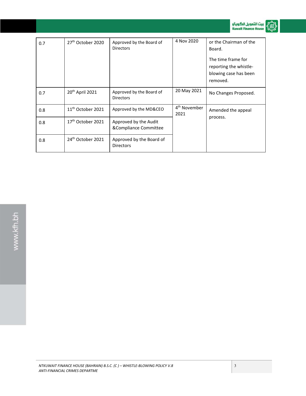

.<br>펢.

| 0.7 | 27 <sup>th</sup> October 2020 | Approved by the Board of<br><b>Directors</b>   | 4 Nov 2020                       | or the Chairman of the<br>Board.<br>The time frame for<br>reporting the whistle-<br>blowing case has been<br>removed. |
|-----|-------------------------------|------------------------------------------------|----------------------------------|-----------------------------------------------------------------------------------------------------------------------|
| 0.7 | 20 <sup>th</sup> April 2021   | Approved by the Board of<br><b>Directors</b>   | 20 May 2021                      | No Changes Proposed.                                                                                                  |
| 0.8 | $11th$ October 2021           | Approved by the MD&CEO                         | 4 <sup>th</sup> November<br>2021 | Amended the appeal                                                                                                    |
| 0.8 | 17 <sup>th</sup> October 2021 | Approved by the Audit<br>&Compliance Committee |                                  | process.                                                                                                              |
| 0.8 | 24 <sup>th</sup> October 2021 | Approved by the Board of<br><b>Directors</b>   |                                  |                                                                                                                       |

#### *NTKUWAIT FINANCE HOUSE (BAHRAIN) B.S.C. (C ) – WHISTLE-BLOWING POLICY V.8 ANTI-FINANCIAL CRIMES DEPARTME*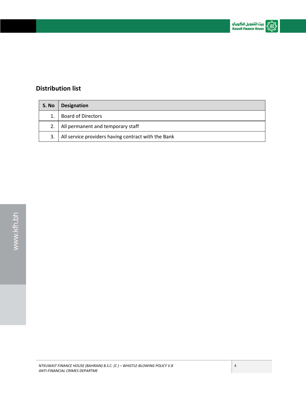### **Distribution list**

| S. No | <b>Designation</b>                                  |
|-------|-----------------------------------------------------|
|       | <b>Board of Directors</b>                           |
|       | All permanent and temporary staff                   |
| 3.    | All service providers having contract with the Bank |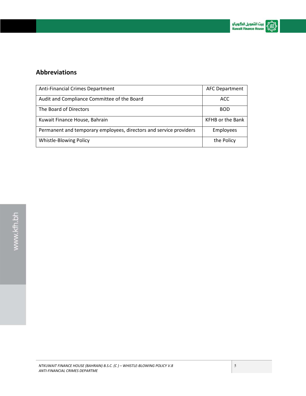

### **Abbreviations**

| Anti-Financial Crimes Department                                   | <b>AFC Department</b>   |
|--------------------------------------------------------------------|-------------------------|
| Audit and Compliance Committee of the Board                        | ACC                     |
| The Board of Directors                                             | <b>BOD</b>              |
| Kuwait Finance House, Bahrain                                      | <b>KFHB or the Bank</b> |
| Permanent and temporary employees, directors and service providers | Employees               |
| Whistle-Blowing Policy                                             | the Policy              |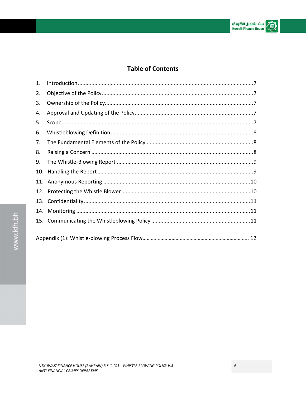# **Table of Contents**

| 1.  |  |
|-----|--|
| 2.  |  |
| 3.  |  |
| 4.  |  |
| 5.  |  |
| 6.  |  |
| 7.  |  |
| 8.  |  |
| 9.  |  |
| 10. |  |
| 11. |  |
| 12. |  |
|     |  |
| 14. |  |
|     |  |
|     |  |
|     |  |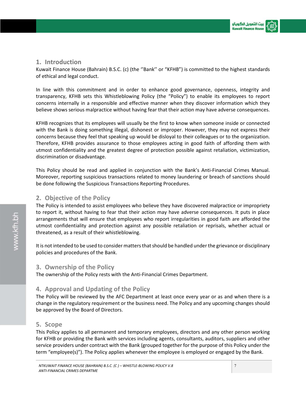

#### **1. Introduction**

Kuwait Finance House (Bahrain) B.S.C. (c) (the ''Bank'' or "KFHB") is committed to the highest standards of ethical and legal conduct.

In line with this commitment and in order to enhance good governance, openness, integrity and transparency, KFHB sets this Whistleblowing Policy (the "Policy") to enable its employees to report concerns internally in a responsible and effective manner when they discover information which they believe shows serious malpractice without having fear that their action may have adverse consequences.

KFHB recognizes that its employees will usually be the first to know when someone inside or connected with the Bank is doing something illegal, dishonest or improper. However, they may not express their concerns because they feel that speaking up would be disloyal to their colleagues or to the organization. Therefore, KFHB provides assurance to those employees acting in good faith of affording them with utmost confidentiality and the greatest degree of protection possible against retaliation, victimization, discrimination or disadvantage.

This Policy should be read and applied in conjunction with the Bank's Anti-Financial Crimes Manual. Moreover, reporting suspicious transactions related to money laundering or breach of sanctions should be done following the Suspicious Transactions Reporting Procedures.

#### **2. Objective of the Policy**

The Policy is intended to assist employees who believe they have discovered malpractice or impropriety to report it, without having to fear that their action may have adverse consequences. It puts in place arrangements that will ensure that employees who report irregularities in good faith are afforded the utmost confidentiality and protection against any possible retaliation or reprisals, whether actual or threatened, as a result of their whistleblowing.

It is not intended to be used to consider matters that should be handled under the grievance or disciplinary policies and procedures of the Bank.

#### **3. Ownership of the Policy**

The ownership of the Policy rests with the Anti-Financial Crimes Department.

#### **4. Approval and Updating of the Policy**

The Policy will be reviewed by the AFC Department at least once every year or as and when there is a change in the regulatory requirement or the business need. The Policy and any upcoming changes should be approved by the Board of Directors.

#### **5. Scope**

This Policy applies to all permanent and temporary employees, directors and any other person working for KFHB or providing the Bank with services including agents, consultants, auditors, suppliers and other service providers under contract with the Bank (grouped together for the purpose of this Policy under the term "employee(s)"). The Policy applies whenever the employee is employed or engaged by the Bank.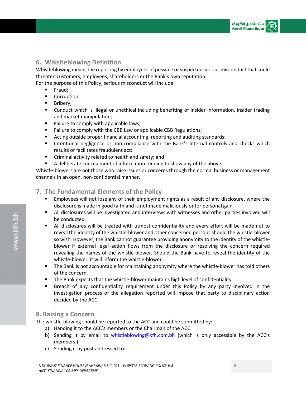#### **6. Whistleblowing Definition**

Whistleblowing means the reporting by employees of possible or suspected serious misconduct that could threaten customers, employees, shareholders or the Bank's own reputation.

For the purpose of this Policy, serious misconduct will include:

- Fraud;
- Corruption;
- **Bribery**;
- Conduct which is illegal or unethical including benefiting of insider information, insider trading and market manipulation;
- Failure to comply with applicable laws;
- **Failure to comply with the CBB Law or applicable CBB Regulations;**
- Acting outside proper financial accounting, reporting and auditing standards;
- **Intentional negligence or non-compliance with the Bank's internal controls and checks which** results or facilitates fraudulent act;
- **EXTERGHT Criminal activity related to health and safety; and**
- A deliberate concealment of information tending to show any of the above.

Whistle-blowers are not those who raise issues or concerns through the normal business or management channels in an open, non-confidential manner.

#### **7. The Fundamental Elements of the Policy**

- Employees will not lose any of their employment rights as a result of any disclosure, where the disclosure is made in good faith and is not made maliciously or for personal gain.
- All disclosures will be investigated and interviews with witnesses and other parties involved will be conducted.
- All disclosures will be treated with utmost confidentiality and every effort will be made not to reveal the identity of the whistle-blower and other concerned persons should the whistle-blower so wish. However, the Bank cannot guarantee providing anonymity to the identity of the whistleblower if external legal action flows from the disclosure or resolving the concern required revealing the names of the whistle-blower. Should the Bank have to reveal the identity of the whistle-blower, it will inform the whistle-blower.
- **The Bank is not accountable for maintaining anonymity where the whistle-blower has told others** of the concern.
- The Bank expects that the whistle-blower maintains high level of confidentiality.
- Breach of any confidentiality requirement under this Policy by any party involved in the investigation process of the allegation reported will impose that party to disciplinary action decided by the ACC.

#### **8. Raising a Concern**

The whistle-blowing should be reported to the ACC and could be submitted by:

- a) Handing it to the ACC's members or the Chairman of the ACC.
- b) Sending it by email to *whistleblowing@kfh.com.bh* (which is only accessible by the ACC's members )
- c) Sending it by post addressed to: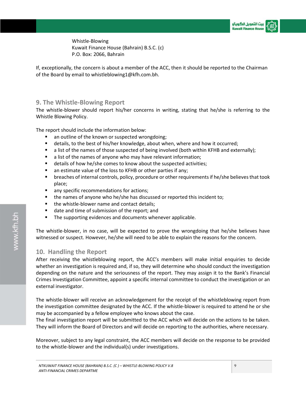Whistle-Blowing Kuwait Finance House (Bahrain) B.S.C. (c) P.O. Box: 2066, Bahrain

If, exceptionally, the concern is about a member of the ACC, then it should be reported to the Chairman of the Board by email to whistleblowing1@kfh.com.bh.

#### **9. The Whistle-Blowing Report**

The whistle-blower should report his/her concerns in writing, stating that he/she is referring to the Whistle Blowing Policy.

The report should include the information below:

- **a** an outline of the known or suspected wrongdoing;
- details, to the best of his/her knowledge, about when, where and how it occurred;
- **a** list of the names of those suspected of being involved (both within KFHB and externally);
- a list of the names of anyone who may have relevant information;
- details of how he/she comes to know about the suspected activities;
- **a** an estimate value of the loss to KFHB or other parties if any;
- breaches of internal controls, policy, procedure or other requirements if he/she believes that took place;
- **a** any specific recommendations for actions;
- the names of anyone who he/she has discussed or reported this incident to;
- the whistle-blower name and contact details;
- date and time of submission of the report; and
- **The supporting evidences and documents whenever applicable.**

The whistle-blower, in no case, will be expected to prove the wrongdoing that he/she believes have witnessed or suspect. However, he/she will need to be able to explain the reasons for the concern.

#### **10. Handling the Report**

After receiving the whistleblowing report, the ACC's members will make initial enquiries to decide whether an investigation is required and, if so, they will determine who should conduct the investigation depending on the nature and the seriousness of the report. They may assign it to the Bank's Financial Crimes Investigation Committee, appoint a specific internal committee to conduct the investigation or an external investigator.

The whistle-blower will receive an acknowledgement for the receipt of the whistleblowing report from the investigation committee designated by the ACC. If the whistle-blower is required to attend he or she may be accompanied by a fellow employee who knows about the case.

The final investigation report will be submitted to the ACC which will decide on the actions to be taken. They will inform the Board of Directors and will decide on reporting to the authorities, where necessary.

Moreover, subject to any legal constraint, the ACC members will decide on the response to be provided to the whistle-blower and the individual(s) under investigations.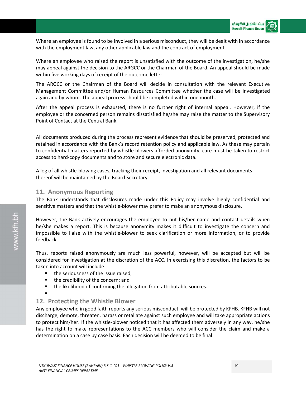Where an employee is found to be involved in a serious misconduct, they will be dealt with in accordance with the employment law, any other applicable law and the contract of employment.

Where an employee who raised the report is unsatisfied with the outcome of the investigation, he/she may appeal against the decision to the ARGCC or the Chairman of the Board. An appeal should be made within five working days of receipt of the outcome letter.

The ARGCC or the Chairman of the Board will decide in consultation with the relevant Executive Management Committee and/or Human Resources Committee whether the case will be investigated again and by whom. The appeal process should be completed within one month.

After the appeal process is exhausted, there is no further right of internal appeal. However, if the employee or the concerned person remains dissatisfied he/she may raise the matter to the Supervisory Point of Contact at the Central Bank.

All documents produced during the process represent evidence that should be preserved, protected and retained in accordance with the Bank's record retention policy and applicable law. As these may pertain to confidential matters reported by whistle blowers afforded anonymity, care must be taken to restrict access to hard-copy documents and to store and secure electronic data.

A log of all whistle-blowing cases, tracking their receipt, investigation and all relevant documents thereof will be maintained by the Board Secretary.

#### **11. Anonymous Reporting**

The Bank understands that disclosures made under this Policy may involve highly confidential and sensitive matters and that the whistle-blower may prefer to make an anonymous disclosure.

However, the Bank actively encourages the employee to put his/her name and contact details when he/she makes a report. This is because anonymity makes it difficult to investigate the concern and impossible to liaise with the whistle-blower to seek clarification or more information, or to provide feedback.

Thus, reports raised anonymously are much less powerful, however, will be accepted but will be considered for investigation at the discretion of the ACC. In exercising this discretion, the factors to be taken into account will include:

- the seriousness of the issue raised;
- the credibility of the concern; and
- **the likelihood of confirming the allegation from attributable sources.** .

#### **12. Protecting the Whistle Blower**

Any employee who in good faith reports any serious misconduct, will be protected by KFHB. KFHB will not discharge, demote, threaten, harass or retaliate against such employee and will take appropriate actions to protect him/her. If the whistle-blower noticed that it has affected them adversely in any way, he/she has the right to make representations to the ACC members who will consider the claim and make a determination on a case by case basis. Each decision will be deemed to be final.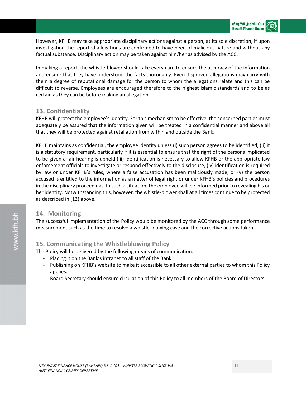However, KFHB may take appropriate disciplinary actions against a person, at its sole discretion, if upon investigation the reported allegations are confirmed to have been of malicious nature and without any factual substance. Disciplinary action may be taken against him/her as advised by the ACC.

In making a report, the whistle-blower should take every care to ensure the accuracy of the information and ensure that they have understood the facts thoroughly. Even disproven allegations may carry with them a degree of reputational damage for the person to whom the allegations relate and this can be difficult to reverse. Employees are encouraged therefore to the highest Islamic standards and to be as certain as they can be before making an allegation.

#### **13. Confidentiality**

KFHB will protect the employee's identity. For this mechanism to be effective, the concerned parties must adequately be assured that the information given will be treated in a confidential manner and above all that they will be protected against retaliation from within and outside the Bank.

KFHB maintains as confidential, the employee identity unless (i) such person agrees to be identified, (ii) it is a statutory requirement, particularly if it is essential to ensure that the right of the persons implicated to be given a fair hearing is upheld (iii) identification is necessary to allow KFHB or the appropriate law enforcement officials to investigate or respond effectively to the disclosure, (iv) identification is required by law or under KFHB's rules, where a false accusation has been maliciously made, or (v) the person accused is entitled to the information as a matter of legal right or under KFHB's policies and procedures in the disciplinary proceedings. In such a situation, the employee will be informed prior to revealing his or her identity. Notwithstanding this, however, the whistle-blower shall at all times continue to be protected as described in (12) above.

#### **14. Monitoring**

The successful implementation of the Policy would be monitored by the ACC through some performance measurement such as the time to resolve a whistle-blowing case and the corrective actions taken.

#### **15. Communicating the Whistleblowing Policy**

The Policy will be delivered by the following means of communication:

- Placing it on the Bank's intranet to all staff of the Bank.
- Publishing on KFHB's website to make it accessible to all other external parties to whom this Policy applies.
- Board Secretary should ensure circulation of this Policy to all members of the Board of Directors.